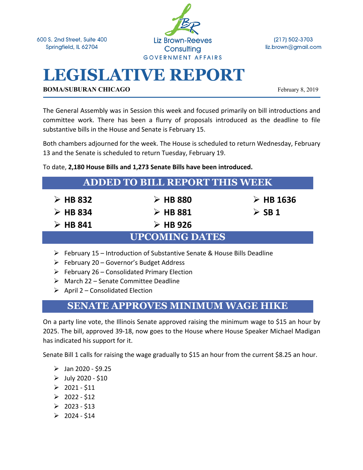600 S. 2nd Street, Suite 400 Springfield, IL 62704



(217) 502-3703 liz.brown@gmail.com

# **LEGISLATIVE REPORT**

**BOMA/SUBURAN CHICAGO** February 8, 2019

The General Assembly was in Session this week and focused primarily on bill introductions and committee work. There has been a flurry of proposals introduced as the deadline to file substantive bills in the House and Senate is February 15.

Both chambers adjourned for the week. The House is scheduled to return Wednesday, February 13 and the Senate is scheduled to return Tuesday, February 19.

To date, **2,180 House Bills and 1,273 Senate Bills have been introduced.** 

| <b>ADDED TO BILL REPORT THIS WEEK</b> |                         |                          |
|---------------------------------------|-------------------------|--------------------------|
| $\triangleright$ HB 832               | $\triangleright$ HB 880 | $\triangleright$ HB 1636 |
| $\triangleright$ HB 834               | $\triangleright$ HB 881 | $\triangleright$ SB 1    |
| $\triangleright$ HB 841               | $\triangleright$ HB 926 |                          |
| <b>UPCOMING DATES</b>                 |                         |                          |

- Ø February 15 Introduction of Substantive Senate & House Bills Deadline
- $\triangleright$  February 20 Governor's Budget Address
- $\triangleright$  February 26 Consolidated Primary Election
- $\triangleright$  March 22 Senate Committee Deadline
- $\triangleright$  April 2 Consolidated Election

## **SENATE APPROVES MINIMUM WAGE HIKE**

On a party line vote, the Illinois Senate approved raising the minimum wage to \$15 an hour by 2025. The bill, approved 39-18, now goes to the House where House Speaker Michael Madigan has indicated his support for it.

Senate Bill 1 calls for raising the wage gradually to \$15 an hour from the current \$8.25 an hour.

- $\triangleright$  Jan 2020 \$9.25
- $\triangleright$  July 2020 \$10
- $\geq 2021 511$
- $\geq 2022 512$
- $\geq 2023 $13$
- $\geq 2024 514$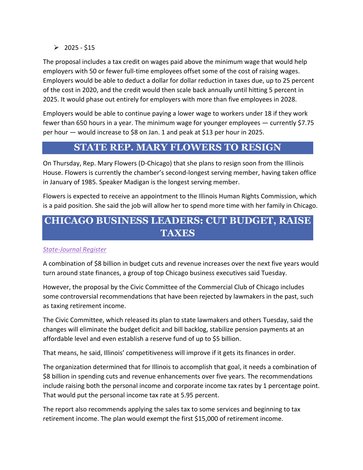$\geq 2025 - 515$ 

The proposal includes a tax credit on wages paid above the minimum wage that would help employers with 50 or fewer full-time employees offset some of the cost of raising wages. Employers would be able to deduct a dollar for dollar reduction in taxes due, up to 25 percent of the cost in 2020, and the credit would then scale back annually until hitting 5 percent in 2025. It would phase out entirely for employers with more than five employees in 2028.

Employers would be able to continue paying a lower wage to workers under 18 if they work fewer than 650 hours in a year. The minimum wage for younger employees — currently \$7.75 per hour — would increase to \$8 on Jan. 1 and peak at \$13 per hour in 2025.

#### **STATE REP. MARY FLOWERS TO RESIGN**

On Thursday, Rep. Mary Flowers (D-Chicago) that she plans to resign soon from the Illinois House. Flowers is currently the chamber's second-longest serving member, having taken office in January of 1985. Speaker Madigan is the longest serving member.

Flowers is expected to receive an appointment to the Illinois Human Rights Commission, which is a paid position. She said the job will allow her to spend more time with her family in Chicago.

### **CHICAGO BUSINESS LEADERS: CUT BUDGET, RAISE TAXES**

#### *State-Journal Register*

A combination of \$8 billion in budget cuts and revenue increases over the next five years would turn around state finances, a group of top Chicago business executives said Tuesday.

However, the proposal by the Civic Committee of the Commercial Club of Chicago includes some controversial recommendations that have been rejected by lawmakers in the past, such as taxing retirement income.

The Civic Committee, which released its plan to state lawmakers and others Tuesday, said the changes will eliminate the budget deficit and bill backlog, stabilize pension payments at an affordable level and even establish a reserve fund of up to \$5 billion.

That means, he said, Illinois' competitiveness will improve if it gets its finances in order.

The organization determined that for Illinois to accomplish that goal, it needs a combination of \$8 billion in spending cuts and revenue enhancements over five years. The recommendations include raising both the personal income and corporate income tax rates by 1 percentage point. That would put the personal income tax rate at 5.95 percent.

The report also recommends applying the sales tax to some services and beginning to tax retirement income. The plan would exempt the first \$15,000 of retirement income.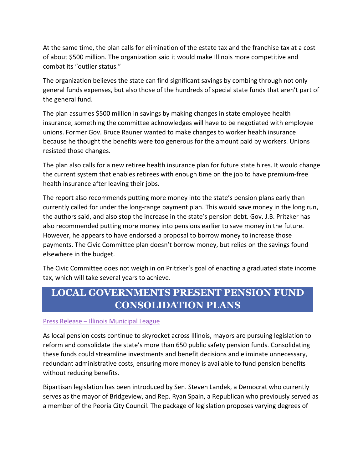At the same time, the plan calls for elimination of the estate tax and the franchise tax at a cost of about \$500 million. The organization said it would make Illinois more competitive and combat its "outlier status."

The organization believes the state can find significant savings by combing through not only general funds expenses, but also those of the hundreds of special state funds that aren't part of the general fund.

The plan assumes \$500 million in savings by making changes in state employee health insurance, something the committee acknowledges will have to be negotiated with employee unions. Former Gov. Bruce Rauner wanted to make changes to worker health insurance because he thought the benefits were too generous for the amount paid by workers. Unions resisted those changes.

The plan also calls for a new retiree health insurance plan for future state hires. It would change the current system that enables retirees with enough time on the job to have premium-free health insurance after leaving their jobs.

The report also recommends putting more money into the state's pension plans early than currently called for under the long-range payment plan. This would save money in the long run, the authors said, and also stop the increase in the state's pension debt. Gov. J.B. Pritzker has also recommended putting more money into pensions earlier to save money in the future. However, he appears to have endorsed a proposal to borrow money to increase those payments. The Civic Committee plan doesn't borrow money, but relies on the savings found elsewhere in the budget.

The Civic Committee does not weigh in on Pritzker's goal of enacting a graduated state income tax, which will take several years to achieve.

# **LOCAL GOVERNMENTS PRESENT PENSION FUND CONSOLIDATION PLANS**

#### Press Release – Illinois Municipal League

As local pension costs continue to skyrocket across Illinois, mayors are pursuing legislation to reform and consolidate the state's more than 650 public safety pension funds. Consolidating these funds could streamline investments and benefit decisions and eliminate unnecessary, redundant administrative costs, ensuring more money is available to fund pension benefits without reducing benefits.

Bipartisan legislation has been introduced by Sen. Steven Landek, a Democrat who currently serves as the mayor of Bridgeview, and Rep. Ryan Spain, a Republican who previously served as a member of the Peoria City Council. The package of legislation proposes varying degrees of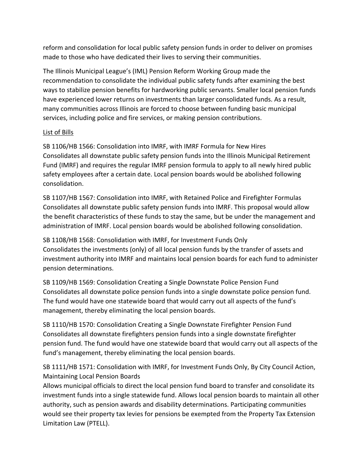reform and consolidation for local public safety pension funds in order to deliver on promises made to those who have dedicated their lives to serving their communities.

The Illinois Municipal League's (IML) Pension Reform Working Group made the recommendation to consolidate the individual public safety funds after examining the best ways to stabilize pension benefits for hardworking public servants. Smaller local pension funds have experienced lower returns on investments than larger consolidated funds. As a result, many communities across Illinois are forced to choose between funding basic municipal services, including police and fire services, or making pension contributions.

#### List of Bills

SB 1106/HB 1566: Consolidation into IMRF, with IMRF Formula for New Hires Consolidates all downstate public safety pension funds into the Illinois Municipal Retirement Fund (IMRF) and requires the regular IMRF pension formula to apply to all newly hired public safety employees after a certain date. Local pension boards would be abolished following consolidation.

SB 1107/HB 1567: Consolidation into IMRF, with Retained Police and Firefighter Formulas Consolidates all downstate public safety pension funds into IMRF. This proposal would allow the benefit characteristics of these funds to stay the same, but be under the management and administration of IMRF. Local pension boards would be abolished following consolidation.

SB 1108/HB 1568: Consolidation with IMRF, for Investment Funds Only Consolidates the investments (only) of all local pension funds by the transfer of assets and investment authority into IMRF and maintains local pension boards for each fund to administer pension determinations.

SB 1109/HB 1569: Consolidation Creating a Single Downstate Police Pension Fund Consolidates all downstate police pension funds into a single downstate police pension fund. The fund would have one statewide board that would carry out all aspects of the fund's management, thereby eliminating the local pension boards.

SB 1110/HB 1570: Consolidation Creating a Single Downstate Firefighter Pension Fund Consolidates all downstate firefighters pension funds into a single downstate firefighter pension fund. The fund would have one statewide board that would carry out all aspects of the fund's management, thereby eliminating the local pension boards.

SB 1111/HB 1571: Consolidation with IMRF, for Investment Funds Only, By City Council Action, Maintaining Local Pension Boards

Allows municipal officials to direct the local pension fund board to transfer and consolidate its investment funds into a single statewide fund. Allows local pension boards to maintain all other authority, such as pension awards and disability determinations. Participating communities would see their property tax levies for pensions be exempted from the Property Tax Extension Limitation Law (PTELL).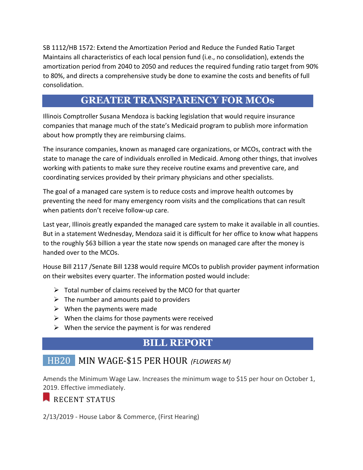SB 1112/HB 1572: Extend the Amortization Period and Reduce the Funded Ratio Target Maintains all characteristics of each local pension fund (i.e., no consolidation), extends the amortization period from 2040 to 2050 and reduces the required funding ratio target from 90% to 80%, and directs a comprehensive study be done to examine the costs and benefits of full consolidation.

#### **GREATER TRANSPARENCY FOR MCOs**

Illinois Comptroller Susana Mendoza is backing legislation that would require insurance companies that manage much of the state's Medicaid program to publish more information about how promptly they are reimbursing claims.

The insurance companies, known as managed care organizations, or MCOs, contract with the state to manage the care of individuals enrolled in Medicaid. Among other things, that involves working with patients to make sure they receive routine exams and preventive care, and coordinating services provided by their primary physicians and other specialists.

The goal of a managed care system is to reduce costs and improve health outcomes by preventing the need for many emergency room visits and the complications that can result when patients don't receive follow-up care.

Last year, Illinois greatly expanded the managed care system to make it available in all counties. But in a statement Wednesday, Mendoza said it is difficult for her office to know what happens to the roughly \$63 billion a year the state now spends on managed care after the money is handed over to the MCOs.

House Bill 2117 /Senate Bill 1238 would require MCOs to publish provider payment information on their websites every quarter. The information posted would include:

- $\triangleright$  Total number of claims received by the MCO for that quarter
- $\triangleright$  The number and amounts paid to providers
- $\triangleright$  When the payments were made
- $\triangleright$  When the claims for those payments were received
- $\triangleright$  When the service the payment is for was rendered

#### **BILL REPORT**

## HB20 MIN WAGE-\$15 PER HOUR *(FLOWERS M)*

Amends the Minimum Wage Law. Increases the minimum wage to \$15 per hour on October 1, 2019. Effective immediately.

#### RECENT STATUS

2/13/2019 - House Labor & Commerce, (First Hearing)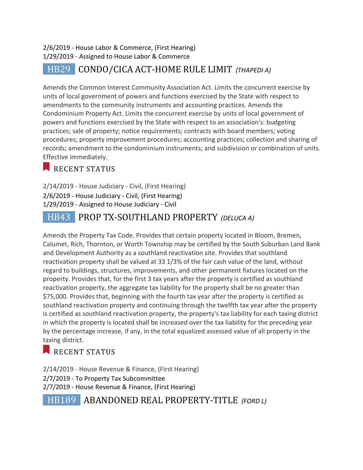#### 2/6/2019 - House Labor & Commerce, (First Hearing) 1/29/2019 - Assigned to House Labor & Commerce

# HB29 **CONDO/CICA ACT-HOME RULE LIMIT** *(THAPEDI A)*

Amends the Common Interest Community Association Act. Limits the concurrent exercise by units of local government of powers and functions exercised by the State with respect to amendments to the community instruments and accounting practices. Amends the Condominium Property Act. Limits the concurrent exercise by units of local government of powers and functions exercised by the State with respect to an association's: budgeting practices; sale of property; notice requirements; contracts with board members; voting procedures; property improvement procedures; accounting practices; collection and sharing of records; amendment to the condominium instruments; and subdivision or combination of units. Effective immediately.

#### RECENT STATUS

2/14/2019 - House Judiciary - Civil, (First Hearing) 2/6/2019 - House Judiciary - Civil, (First Hearing) 1/29/2019 - Assigned to House Judiciary - Civil

# HB43 PROP TX-SOUTHLAND PROPERTY *(DELUCA A)*

Amends the Property Tax Code. Provides that certain property located in Bloom, Bremen, Calumet, Rich, Thornton, or Worth Township may be certified by the South Suburban Land Bank and Development Authority as a southland reactivation site. Provides that southland reactivation property shall be valued at 33 1/3% of the fair cash value of the land, without regard to buildings, structures, improvements, and other permanent fixtures located on the property. Provides that, for the first 3 tax years after the property is certified as southland reactivation property, the aggregate tax liability for the property shall be no greater than \$75,000. Provides that, beginning with the fourth tax year after the property is certified as southland reactivation property and continuing through the twelfth tax year after the property is certified as southland reactivation property, the property's tax liability for each taxing district in which the property is located shall be increased over the tax liability for the preceding year by the percentage increase, if any, in the total equalized assessed value of all property in the taxing district.

## RECENT STATUS

2/14/2019 - House Revenue & Finance, (First Hearing) 2/7/2019 - To Property Tax Subcommittee 2/7/2019 - House Revenue & Finance, (First Hearing)

 HB189 ABANDONED REAL PROPERTY-TITLE *(FORD L)*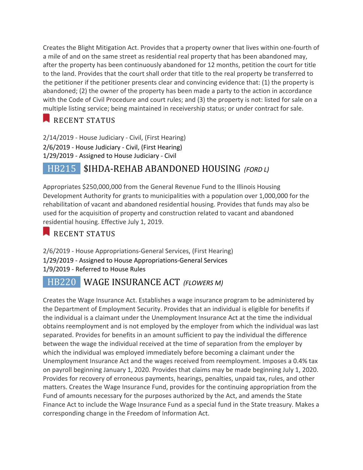Creates the Blight Mitigation Act. Provides that a property owner that lives within one-fourth of a mile of and on the same street as residential real property that has been abandoned may, after the property has been continuously abandoned for 12 months, petition the court for title to the land. Provides that the court shall order that title to the real property be transferred to the petitioner if the petitioner presents clear and convincing evidence that: (1) the property is abandoned; (2) the owner of the property has been made a party to the action in accordance with the Code of Civil Procedure and court rules; and (3) the property is not: listed for sale on a multiple listing service; being maintained in receivership status; or under contract for sale.

RECENT STATUS

2/14/2019 - House Judiciary - Civil, (First Hearing) 2/6/2019 - House Judiciary - Civil, (First Hearing) 1/29/2019 - Assigned to House Judiciary - Civil

# HB215 \$IHDA-REHAB ABANDONED HOUSING *(FORD L)*

Appropriates \$250,000,000 from the General Revenue Fund to the Illinois Housing Development Authority for grants to municipalities with a population over 1,000,000 for the rehabilitation of vacant and abandoned residential housing. Provides that funds may also be used for the acquisition of property and construction related to vacant and abandoned residential housing. Effective July 1, 2019.

#### RECENT STATUS

2/6/2019 - House Appropriations-General Services, (First Hearing) 1/29/2019 - Assigned to House Appropriations-General Services 1/9/2019 - Referred to House Rules

# **HB220** WAGE INSURANCE ACT *(FLOWERS M)*

Creates the Wage Insurance Act. Establishes a wage insurance program to be administered by the Department of Employment Security. Provides that an individual is eligible for benefits if the individual is a claimant under the Unemployment Insurance Act at the time the individual obtains reemployment and is not employed by the employer from which the individual was last separated. Provides for benefits in an amount sufficient to pay the individual the difference between the wage the individual received at the time of separation from the employer by which the individual was employed immediately before becoming a claimant under the Unemployment Insurance Act and the wages received from reemployment. Imposes a 0.4% tax on payroll beginning January 1, 2020. Provides that claims may be made beginning July 1, 2020. Provides for recovery of erroneous payments, hearings, penalties, unpaid tax, rules, and other matters. Creates the Wage Insurance Fund, provides for the continuing appropriation from the Fund of amounts necessary for the purposes authorized by the Act, and amends the State Finance Act to include the Wage Insurance Fund as a special fund in the State treasury. Makes a corresponding change in the Freedom of Information Act.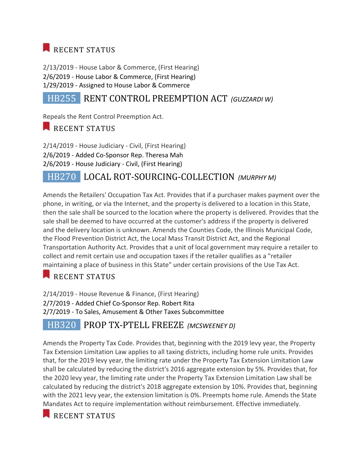# RECENT STATUS

2/13/2019 - House Labor & Commerce, (First Hearing) 2/6/2019 - House Labor & Commerce, (First Hearing) 1/29/2019 - Assigned to House Labor & Commerce

# HB255 RENT CONTROL PREEMPTION ACT *(GUZZARDI W)*

Repeals the Rent Control Preemption Act.

RECENT STATUS

2/14/2019 - House Judiciary - Civil, (First Hearing) 2/6/2019 - Added Co-Sponsor Rep. Theresa Mah 2/6/2019 - House Judiciary - Civil, (First Hearing)

## HB270 LOCAL ROT-SOURCING-COLLECTION *(MURPHY M)*

Amends the Retailers' Occupation Tax Act. Provides that if a purchaser makes payment over the phone, in writing, or via the Internet, and the property is delivered to a location in this State, then the sale shall be sourced to the location where the property is delivered. Provides that the sale shall be deemed to have occurred at the customer's address if the property is delivered and the delivery location is unknown. Amends the Counties Code, the Illinois Municipal Code, the Flood Prevention District Act, the Local Mass Transit District Act, and the Regional Transportation Authority Act. Provides that a unit of local government may require a retailer to collect and remit certain use and occupation taxes if the retailer qualifies as a "retailer maintaining a place of business in this State" under certain provisions of the Use Tax Act.

#### RECENT STATUS

2/14/2019 - House Revenue & Finance, (First Hearing) 2/7/2019 - Added Chief Co-Sponsor Rep. Robert Rita 2/7/2019 - To Sales, Amusement & Other Taxes Subcommittee

# HB320 PROP TX-PTELL FREEZE *(MCSWEENEY D)*

Amends the Property Tax Code. Provides that, beginning with the 2019 levy year, the Property Tax Extension Limitation Law applies to all taxing districts, including home rule units. Provides that, for the 2019 levy year, the limiting rate under the Property Tax Extension Limitation Law shall be calculated by reducing the district's 2016 aggregate extension by 5%. Provides that, for the 2020 levy year, the limiting rate under the Property Tax Extension Limitation Law shall be calculated by reducing the district's 2018 aggregate extension by 10%. Provides that, beginning with the 2021 levy year, the extension limitation is 0%. Preempts home rule. Amends the State Mandates Act to require implementation without reimbursement. Effective immediately.

RECENT STATUS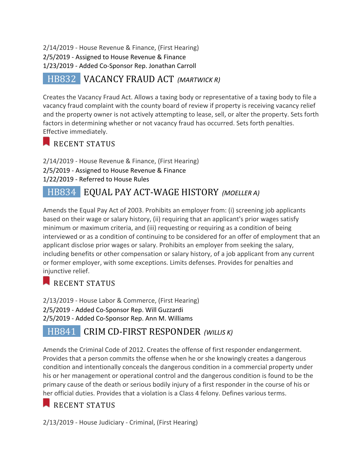2/14/2019 - House Revenue & Finance, (First Hearing) 2/5/2019 - Assigned to House Revenue & Finance 1/23/2019 - Added Co-Sponsor Rep. Jonathan Carroll

## HB832 VACANCY FRAUD ACT *(MARTWICK R)*

Creates the Vacancy Fraud Act. Allows a taxing body or representative of a taxing body to file a vacancy fraud complaint with the county board of review if property is receiving vacancy relief and the property owner is not actively attempting to lease, sell, or alter the property. Sets forth factors in determining whether or not vacancy fraud has occurred. Sets forth penalties. Effective immediately.

#### RECENT STATUS

2/14/2019 - House Revenue & Finance, (First Hearing) 2/5/2019 - Assigned to House Revenue & Finance 1/22/2019 - Referred to House Rules

## HB834 EQUAL PAY ACT-WAGE HISTORY *(MOELLER A)*

Amends the Equal Pay Act of 2003. Prohibits an employer from: (i) screening job applicants based on their wage or salary history, (ii) requiring that an applicant's prior wages satisfy minimum or maximum criteria, and (iii) requesting or requiring as a condition of being interviewed or as a condition of continuing to be considered for an offer of employment that an applicant disclose prior wages or salary. Prohibits an employer from seeking the salary, including benefits or other compensation or salary history, of a job applicant from any current or former employer, with some exceptions. Limits defenses. Provides for penalties and injunctive relief.

RECENT STATUS

2/13/2019 - House Labor & Commerce, (First Hearing) 2/5/2019 - Added Co-Sponsor Rep. Will Guzzardi 2/5/2019 - Added Co-Sponsor Rep. Ann M. Williams

#### HB841 **CRIM CD-FIRST RESPONDER** (WILLIS Κ)

Amends the Criminal Code of 2012. Creates the offense of first responder endangerment. Provides that a person commits the offense when he or she knowingly creates a dangerous condition and intentionally conceals the dangerous condition in a commercial property under his or her management or operational control and the dangerous condition is found to be the primary cause of the death or serious bodily injury of a first responder in the course of his or her official duties. Provides that a violation is a Class 4 felony. Defines various terms.

## RECENT STATUS

2/13/2019 - House Judiciary - Criminal, (First Hearing)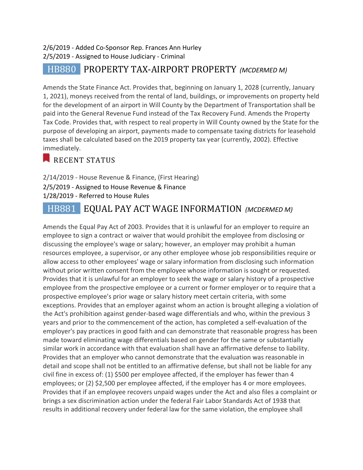#### 2/6/2019 - Added Co-Sponsor Rep. Frances Ann Hurley 2/5/2019 - Assigned to House Judiciary - Criminal

# HB880 PROPERTY TAX-AIRPORT PROPERTY *(MCDERMED M)*

Amends the State Finance Act. Provides that, beginning on January 1, 2028 (currently, January 1, 2021), moneys received from the rental of land, buildings, or improvements on property held for the development of an airport in Will County by the Department of Transportation shall be paid into the General Revenue Fund instead of the Tax Recovery Fund. Amends the Property Tax Code. Provides that, with respect to real property in Will County owned by the State for the purpose of developing an airport, payments made to compensate taxing districts for leasehold taxes shall be calculated based on the 2019 property tax year (currently, 2002). Effective immediately.

#### RECENT STATUS

2/14/2019 - House Revenue & Finance, (First Hearing) 2/5/2019 - Assigned to House Revenue & Finance 1/28/2019 - Referred to House Rules

# HB881 EQUAL PAY ACT WAGE INFORMATION *(MCDERMED M)*

Amends the Equal Pay Act of 2003. Provides that it is unlawful for an employer to require an employee to sign a contract or waiver that would prohibit the employee from disclosing or discussing the employee's wage or salary; however, an employer may prohibit a human resources employee, a supervisor, or any other employee whose job responsibilities require or allow access to other employees' wage or salary information from disclosing such information without prior written consent from the employee whose information is sought or requested. Provides that it is unlawful for an employer to seek the wage or salary history of a prospective employee from the prospective employee or a current or former employer or to require that a prospective employee's prior wage or salary history meet certain criteria, with some exceptions. Provides that an employer against whom an action is brought alleging a violation of the Act's prohibition against gender-based wage differentials and who, within the previous 3 years and prior to the commencement of the action, has completed a self-evaluation of the employer's pay practices in good faith and can demonstrate that reasonable progress has been made toward eliminating wage differentials based on gender for the same or substantially similar work in accordance with that evaluation shall have an affirmative defense to liability. Provides that an employer who cannot demonstrate that the evaluation was reasonable in detail and scope shall not be entitled to an affirmative defense, but shall not be liable for any civil fine in excess of: (1) \$500 per employee affected, if the employer has fewer than 4 employees; or (2) \$2,500 per employee affected, if the employer has 4 or more employees. Provides that if an employee recovers unpaid wages under the Act and also files a complaint or brings a sex discrimination action under the federal Fair Labor Standards Act of 1938 that results in additional recovery under federal law for the same violation, the employee shall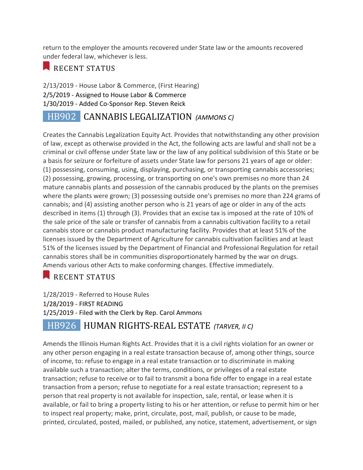return to the employer the amounts recovered under State law or the amounts recovered under federal law, whichever is less.

#### RECENT STATUS

2/13/2019 - House Labor & Commerce, (First Hearing) 2/5/2019 - Assigned to House Labor & Commerce 1/30/2019 - Added Co-Sponsor Rep. Steven Reick

# HB902 CANNABIS LEGALIZATION *(AMMONS C)*

Creates the Cannabis Legalization Equity Act. Provides that notwithstanding any other provision of law, except as otherwise provided in the Act, the following acts are lawful and shall not be a criminal or civil offense under State law or the law of any political subdivision of this State or be a basis for seizure or forfeiture of assets under State law for persons 21 years of age or older: (1) possessing, consuming, using, displaying, purchasing, or transporting cannabis accessories; (2) possessing, growing, processing, or transporting on one's own premises no more than 24 mature cannabis plants and possession of the cannabis produced by the plants on the premises where the plants were grown; (3) possessing outside one's premises no more than 224 grams of cannabis; and (4) assisting another person who is 21 years of age or older in any of the acts described in items (1) through (3). Provides that an excise tax is imposed at the rate of 10% of the sale price of the sale or transfer of cannabis from a cannabis cultivation facility to a retail cannabis store or cannabis product manufacturing facility. Provides that at least 51% of the licenses issued by the Department of Agriculture for cannabis cultivation facilities and at least 51% of the licenses issued by the Department of Financial and Professional Regulation for retail cannabis stores shall be in communities disproportionately harmed by the war on drugs. Amends various other Acts to make conforming changes. Effective immediately.

#### RECENT STATUS

1/28/2019 - Referred to House Rules 1/28/2019 - FIRST READING 1/25/2019 - Filed with the Clerk by Rep. Carol Ammons

#### HB926 HUMAN RIGHTS-REAL ESTATE *(TARVER, II C)*

Amends the Illinois Human Rights Act. Provides that it is a civil rights violation for an owner or any other person engaging in a real estate transaction because of, among other things, source of income, to: refuse to engage in a real estate transaction or to discriminate in making available such a transaction; alter the terms, conditions, or privileges of a real estate transaction; refuse to receive or to fail to transmit a bona fide offer to engage in a real estate transaction from a person; refuse to negotiate for a real estate transaction; represent to a person that real property is not available for inspection, sale, rental, or lease when it is available, or fail to bring a property listing to his or her attention, or refuse to permit him or her to inspect real property; make, print, circulate, post, mail, publish, or cause to be made, printed, circulated, posted, mailed, or published, any notice, statement, advertisement, or sign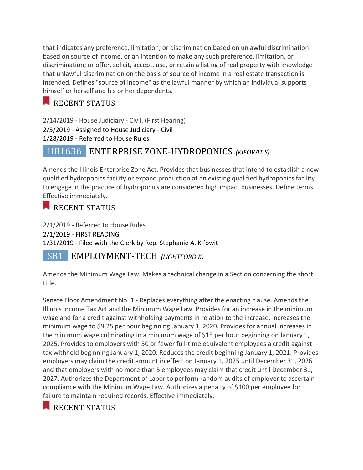that indicates any preference, limitation, or discrimination based on unlawful discrimination based on source of income, or an intention to make any such preference, limitation, or discrimination; or offer, solicit, accept, use, or retain a listing of real property with knowledge that unlawful discrimination on the basis of source of income in a real estate transaction is intended. Defines "source of income" as the lawful manner by which an individual supports himself or herself and his or her dependents.

#### RECENT STATUS

2/14/2019 - House Judiciary - Civil, (First Hearing) 2/5/2019 - Assigned to House Judiciary - Civil 1/28/2019 - Referred to House Rules

# HB1636 ENTERPRISE ZONE-HYDROPONICS *(KIFOWIT S)*

Amends the Illinois Enterprise Zone Act. Provides that businesses that intend to establish a new qualified hydroponics facility or expand production at an existing qualified hydroponics facility to engage in the practice of hydroponics are considered high impact businesses. Define terms. Effective immediately.

#### RECENT STATUS

2/1/2019 - Referred to House Rules 2/1/2019 - FIRST READING 1/31/2019 - Filed with the Clerk by Rep. Stephanie A. Kifowit

#### SB1 EMPLOYMENT-TECH (LIGHTFORD K)

Amends the Minimum Wage Law. Makes a technical change in a Section concerning the short title.

Senate Floor Amendment No. 1 - Replaces everything after the enacting clause. Amends the Illinois Income Tax Act and the Minimum Wage Law. Provides for an increase in the minimum wage and for a credit against withholding payments in relation to the increase. Increases the minimum wage to \$9.25 per hour beginning January 1, 2020. Provides for annual increases in the minimum wage culminating in a minimum wage of \$15 per hour beginning on January 1, 2025. Provides to employers with 50 or fewer full-time equivalent employees a credit against tax withheld beginning January 1, 2020. Reduces the credit beginning January 1, 2021. Provides employers may claim the credit amount in effect on January 1, 2025 until December 31, 2026 and that employers with no more than 5 employees may claim that credit until December 31, 2027. Authorizes the Department of Labor to perform random audits of employer to ascertain compliance with the Minimum Wage Law. Authorizes a penalty of \$100 per employee for failure to maintain required records. Effective immediately.

RECENT STATUS